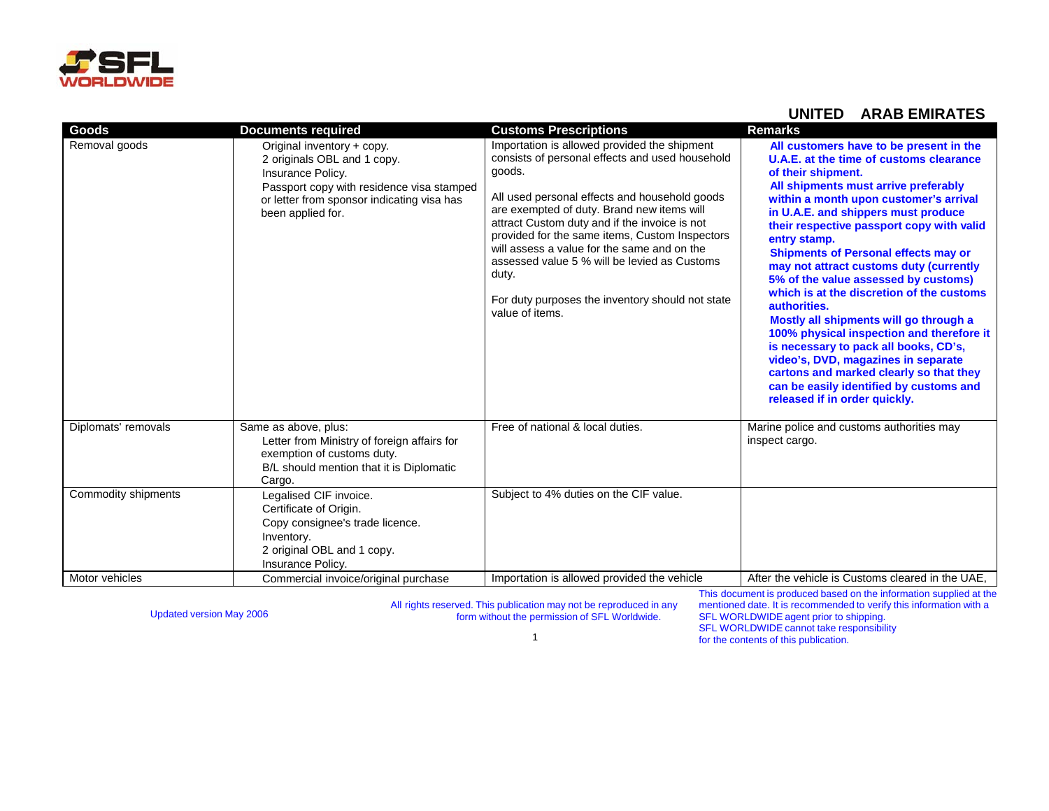

## **UNITED ARAB EMIRATES**

| Goods                                 | <b>Documents required</b>                                                                                                                                                                      | <b>Customs Prescriptions</b>                                                                                                                                                                                                                                                                                                                                                                                                                                                               | <b>Remarks</b>                                                                                                                                                                                                                                                                                                                                                                                                                                                                                                                                                                                                                                                                                                                                                                              |
|---------------------------------------|------------------------------------------------------------------------------------------------------------------------------------------------------------------------------------------------|--------------------------------------------------------------------------------------------------------------------------------------------------------------------------------------------------------------------------------------------------------------------------------------------------------------------------------------------------------------------------------------------------------------------------------------------------------------------------------------------|---------------------------------------------------------------------------------------------------------------------------------------------------------------------------------------------------------------------------------------------------------------------------------------------------------------------------------------------------------------------------------------------------------------------------------------------------------------------------------------------------------------------------------------------------------------------------------------------------------------------------------------------------------------------------------------------------------------------------------------------------------------------------------------------|
| Removal goods                         | Original inventory + copy.<br>2 originals OBL and 1 copy.<br>Insurance Policy.<br>Passport copy with residence visa stamped<br>or letter from sponsor indicating visa has<br>been applied for. | Importation is allowed provided the shipment<br>consists of personal effects and used household<br>goods.<br>All used personal effects and household goods<br>are exempted of duty. Brand new items will<br>attract Custom duty and if the invoice is not<br>provided for the same items, Custom Inspectors<br>will assess a value for the same and on the<br>assessed value 5 % will be levied as Customs<br>duty.<br>For duty purposes the inventory should not state<br>value of items. | All customers have to be present in the<br>U.A.E. at the time of customs clearance<br>of their shipment.<br>All shipments must arrive preferably<br>within a month upon customer's arrival<br>in U.A.E. and shippers must produce<br>their respective passport copy with valid<br>entry stamp.<br><b>Shipments of Personal effects may or</b><br>may not attract customs duty (currently<br>5% of the value assessed by customs)<br>which is at the discretion of the customs<br>authorities.<br>Mostly all shipments will go through a<br>100% physical inspection and therefore it<br>is necessary to pack all books, CD's,<br>video's, DVD, magazines in separate<br>cartons and marked clearly so that they<br>can be easily identified by customs and<br>released if in order quickly. |
| Diplomats' removals                   | Same as above, plus:<br>Letter from Ministry of foreign affairs for<br>exemption of customs duty.<br>B/L should mention that it is Diplomatic<br>Cargo.                                        | Free of national & local duties.                                                                                                                                                                                                                                                                                                                                                                                                                                                           | Marine police and customs authorities may<br>inspect cargo.                                                                                                                                                                                                                                                                                                                                                                                                                                                                                                                                                                                                                                                                                                                                 |
| Commodity shipments<br>Motor vehicles | Legalised CIF invoice.<br>Certificate of Origin.<br>Copy consignee's trade licence.<br>Inventory.<br>2 original OBL and 1 copy.<br>Insurance Policy.                                           | Subject to 4% duties on the CIF value.<br>Importation is allowed provided the vehicle                                                                                                                                                                                                                                                                                                                                                                                                      | After the vehicle is Customs cleared in the UAE.                                                                                                                                                                                                                                                                                                                                                                                                                                                                                                                                                                                                                                                                                                                                            |
|                                       | Commercial invoice/original purchase                                                                                                                                                           |                                                                                                                                                                                                                                                                                                                                                                                                                                                                                            |                                                                                                                                                                                                                                                                                                                                                                                                                                                                                                                                                                                                                                                                                                                                                                                             |

Updated version May 2006 All rights reserved. This publication may not be reproduced in any form without the permission of SFL Worldwide.

This document is produced based on the information supplied at the mentioned date. It is recommended to verify this information with a SFL WORLDWIDE agent prior to shipping. SFL WORLDWIDE cannot take responsibility for the contents of this publication.

1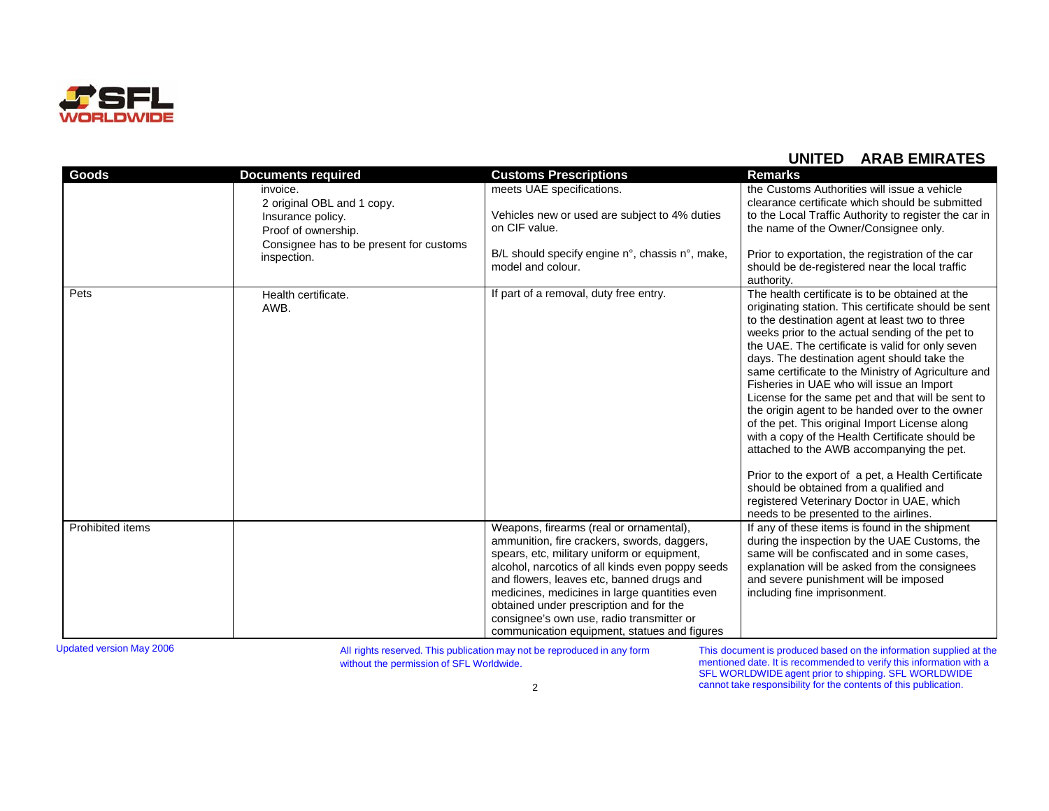

## **UNITED ARAB EMIRATES**

| <b>Goods</b>     | <b>Documents required</b>                                                                                                     | <b>Customs Prescriptions</b>                                                                                                                                                                                                                                                                                                                                                                                                    | <b>Remarks</b>                                                                                                                                                                                                                                                                                                                                                                                                                                                                                                                                                                                                                                                                                                                                                                                                                                                         |
|------------------|-------------------------------------------------------------------------------------------------------------------------------|---------------------------------------------------------------------------------------------------------------------------------------------------------------------------------------------------------------------------------------------------------------------------------------------------------------------------------------------------------------------------------------------------------------------------------|------------------------------------------------------------------------------------------------------------------------------------------------------------------------------------------------------------------------------------------------------------------------------------------------------------------------------------------------------------------------------------------------------------------------------------------------------------------------------------------------------------------------------------------------------------------------------------------------------------------------------------------------------------------------------------------------------------------------------------------------------------------------------------------------------------------------------------------------------------------------|
|                  | invoice.<br>2 original OBL and 1 copy.<br>Insurance policy.<br>Proof of ownership.<br>Consignee has to be present for customs | meets UAE specifications.<br>Vehicles new or used are subject to 4% duties<br>on CIF value.                                                                                                                                                                                                                                                                                                                                     | the Customs Authorities will issue a vehicle<br>clearance certificate which should be submitted<br>to the Local Traffic Authority to register the car in<br>the name of the Owner/Consignee only.                                                                                                                                                                                                                                                                                                                                                                                                                                                                                                                                                                                                                                                                      |
|                  | inspection.                                                                                                                   | B/L should specify engine n°, chassis n°, make,<br>model and colour.                                                                                                                                                                                                                                                                                                                                                            | Prior to exportation, the registration of the car<br>should be de-registered near the local traffic<br>authority.                                                                                                                                                                                                                                                                                                                                                                                                                                                                                                                                                                                                                                                                                                                                                      |
| Pets             | Health certificate.<br>AWB.                                                                                                   | If part of a removal, duty free entry.                                                                                                                                                                                                                                                                                                                                                                                          | The health certificate is to be obtained at the<br>originating station. This certificate should be sent<br>to the destination agent at least two to three<br>weeks prior to the actual sending of the pet to<br>the UAE. The certificate is valid for only seven<br>days. The destination agent should take the<br>same certificate to the Ministry of Agriculture and<br>Fisheries in UAE who will issue an Import<br>License for the same pet and that will be sent to<br>the origin agent to be handed over to the owner<br>of the pet. This original Import License along<br>with a copy of the Health Certificate should be<br>attached to the AWB accompanying the pet.<br>Prior to the export of a pet, a Health Certificate<br>should be obtained from a qualified and<br>registered Veterinary Doctor in UAE, which<br>needs to be presented to the airlines. |
| Prohibited items |                                                                                                                               | Weapons, firearms (real or ornamental),<br>ammunition, fire crackers, swords, daggers,<br>spears, etc, military uniform or equipment,<br>alcohol, narcotics of all kinds even poppy seeds<br>and flowers, leaves etc, banned drugs and<br>medicines, medicines in large quantities even<br>obtained under prescription and for the<br>consignee's own use, radio transmitter or<br>communication equipment, statues and figures | If any of these items is found in the shipment<br>during the inspection by the UAE Customs, the<br>same will be confiscated and in some cases.<br>explanation will be asked from the consignees<br>and severe punishment will be imposed<br>including fine imprisonment.                                                                                                                                                                                                                                                                                                                                                                                                                                                                                                                                                                                               |

Updated version May 2006 **All rights reserved. This publication may not be reproduced in any form** without the permission of SFL Worldwide.

This document is produced based on the information supplied at the mentioned date. It is recommended to verify this information with a SFL WORLDWIDE agent prior to shipping. SFL WORLDWIDE cannot take responsibility for the contents of this publication.